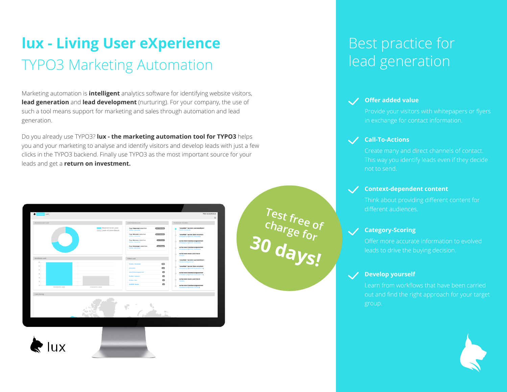## **lux - Living User eXperience** TYPO3 Marketing Automation

Marketing automation is **intelligent** analytics software for identifying website visitors, **lead generation** and **lead development** (nurturing). For your company, the use of such a tool means support for marketing and sales through automation and lead generation.

Do you already use TYPO3? **lux - the marketing automation tool for TYPO3** helps you and your marketing to analyse and identify visitors and develop leads with just a few clicks in the TYPO3 backend. Finally use TYPO3 as the most important source for your leads and get a **return on investment.**



## lux



### Best practice for lead generation



#### **Offer added value**



#### **Call-To-Actions**

Create many and direct channels of contact. This way you identify leads even if they decide

**<sup>30</sup> days!**

**Test free of**

**charge for**

#### **Context-dependent content**

Think about providing different content for different audiences.

#### **Category-Scoring**

#### **Develop yourself**